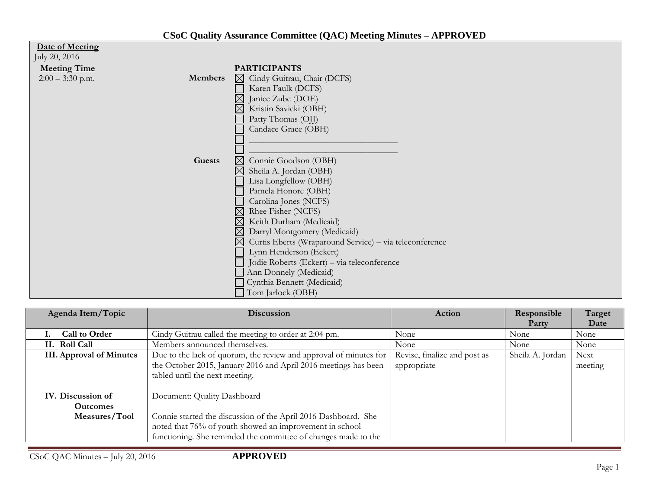| Date of Meeting<br>July 20, 2016 |                |                                                                        |
|----------------------------------|----------------|------------------------------------------------------------------------|
| <b>Meeting Time</b>              |                | <b>PARTICIPANTS</b>                                                    |
| $2:00 - 3:30$ p.m.               | <b>Members</b> | Cindy Guitrau, Chair (DCFS)<br>$\bowtie$                               |
|                                  |                | Karen Faulk (DCFS)                                                     |
|                                  |                | Janice Zube (DOE)                                                      |
|                                  |                | Kristin Savicki (OBH)<br>$\boxtimes$                                   |
|                                  |                | Patty Thomas (OJJ)                                                     |
|                                  |                | Candace Grace (OBH)                                                    |
|                                  |                |                                                                        |
|                                  |                |                                                                        |
|                                  | <b>Guests</b>  | Connie Goodson (OBH)<br>$\boxtimes$                                    |
|                                  |                | $\boxtimes$<br>Sheila A. Jordan (OBH)                                  |
|                                  |                | Lisa Longfellow (OBH)                                                  |
|                                  |                | Pamela Honore (OBH)                                                    |
|                                  |                | Carolina Jones (NCFS)                                                  |
|                                  |                | $\boxtimes$<br>Rhee Fisher (NCFS)                                      |
|                                  |                | $\boxtimes$<br>Keith Durham (Medicaid)                                 |
|                                  |                | $\boxtimes$<br>Darryl Montgomery (Medicaid)                            |
|                                  |                | $\boxtimes$<br>Curtis Eberts (Wraparound Service) - via teleconference |
|                                  |                | Lynn Henderson (Eckert)                                                |
|                                  |                | Jodie Roberts (Eckert) – via teleconference                            |
|                                  |                | Ann Donnely (Medicaid)                                                 |
|                                  |                | Cynthia Bennett (Medicaid)                                             |
|                                  |                | Tom Jarlock (OBH)                                                      |

| Agenda Item/Topic               | <b>Discussion</b>                                                                                                                                                      | Action                                      | Responsible      | Target                 |
|---------------------------------|------------------------------------------------------------------------------------------------------------------------------------------------------------------------|---------------------------------------------|------------------|------------------------|
|                                 |                                                                                                                                                                        |                                             | Party            | Date                   |
| Call to Order                   | Cindy Guitrau called the meeting to order at 2:04 pm.                                                                                                                  | None                                        | None             | None                   |
| II. Roll Call                   | Members announced themselves.                                                                                                                                          | None                                        | None             | None                   |
| <b>III.</b> Approval of Minutes | Due to the lack of quorum, the review and approval of minutes for<br>the October 2015, January 2016 and April 2016 meetings has been<br>tabled until the next meeting. | Revise, finalize and post as<br>appropriate | Sheila A. Jordan | <b>Next</b><br>meeting |
| IV. Discussion of               | Document: Quality Dashboard                                                                                                                                            |                                             |                  |                        |
| <b>Outcomes</b>                 |                                                                                                                                                                        |                                             |                  |                        |
| Measures/Tool                   | Connie started the discussion of the April 2016 Dashboard. She<br>noted that 76% of youth showed an improvement in school                                              |                                             |                  |                        |
|                                 | functioning. She reminded the committee of changes made to the                                                                                                         |                                             |                  |                        |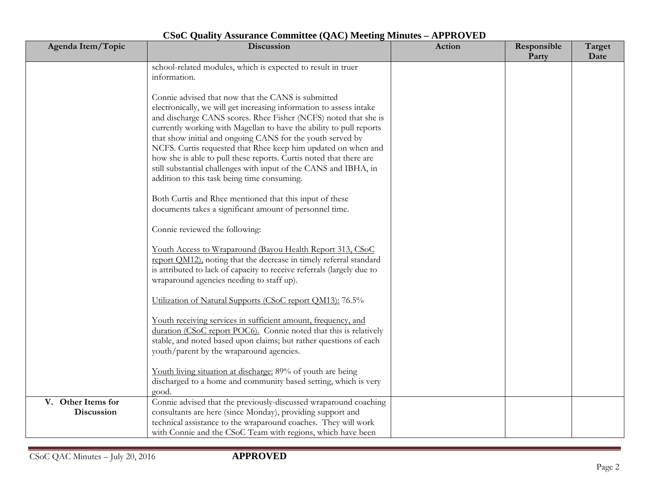| Agenda Item/Topic                | Discussion                                                                                                                                                                                                                                                                                                                                                                                                                                                                                                                                                                                  | <b>Action</b> | Responsible<br>Party | Target<br>Date |
|----------------------------------|---------------------------------------------------------------------------------------------------------------------------------------------------------------------------------------------------------------------------------------------------------------------------------------------------------------------------------------------------------------------------------------------------------------------------------------------------------------------------------------------------------------------------------------------------------------------------------------------|---------------|----------------------|----------------|
|                                  | school-related modules, which is expected to result in truer<br>information.                                                                                                                                                                                                                                                                                                                                                                                                                                                                                                                |               |                      |                |
|                                  | Connie advised that now that the CANS is submitted<br>electronically, we will get increasing information to assess intake<br>and discharge CANS scores. Rhee Fisher (NCFS) noted that she is<br>currently working with Magellan to have the ability to pull reports<br>that show initial and ongoing CANS for the youth served by<br>NCFS. Curtis requested that Rhee keep him updated on when and<br>how she is able to pull these reports. Curtis noted that there are<br>still substantial challenges with input of the CANS and IBHA, in<br>addition to this task being time consuming. |               |                      |                |
|                                  | Both Curtis and Rhee mentioned that this input of these<br>documents takes a significant amount of personnel time.                                                                                                                                                                                                                                                                                                                                                                                                                                                                          |               |                      |                |
|                                  | Connie reviewed the following:                                                                                                                                                                                                                                                                                                                                                                                                                                                                                                                                                              |               |                      |                |
|                                  | Youth Access to Wraparound (Bayou Health Report 313, CSoC<br>report OM12), noting that the decrease in timely referral standard<br>is attributed to lack of capacity to receive referrals (largely due to<br>wraparound agencies needing to staff up).                                                                                                                                                                                                                                                                                                                                      |               |                      |                |
|                                  | Utilization of Natural Supports (CSoC report QM13): 76.5%                                                                                                                                                                                                                                                                                                                                                                                                                                                                                                                                   |               |                      |                |
|                                  | Youth receiving services in sufficient amount, frequency, and<br>duration (CSoC report POC6). Connie noted that this is relatively<br>stable, and noted based upon claims; but rather questions of each<br>youth/parent by the wraparound agencies.                                                                                                                                                                                                                                                                                                                                         |               |                      |                |
|                                  | Youth living situation at discharge: 89% of youth are being<br>discharged to a home and community based setting, which is very<br>good.                                                                                                                                                                                                                                                                                                                                                                                                                                                     |               |                      |                |
| V. Other Items for<br>Discussion | Connie advised that the previously-discussed wraparound coaching<br>consultants are here (since Monday), providing support and<br>technical assistance to the wraparound coaches. They will work<br>with Connie and the CSoC Team with regions, which have been                                                                                                                                                                                                                                                                                                                             |               |                      |                |

## **CSoC Quality Assurance Committee (QAC) Meeting Minutes – APPROVED**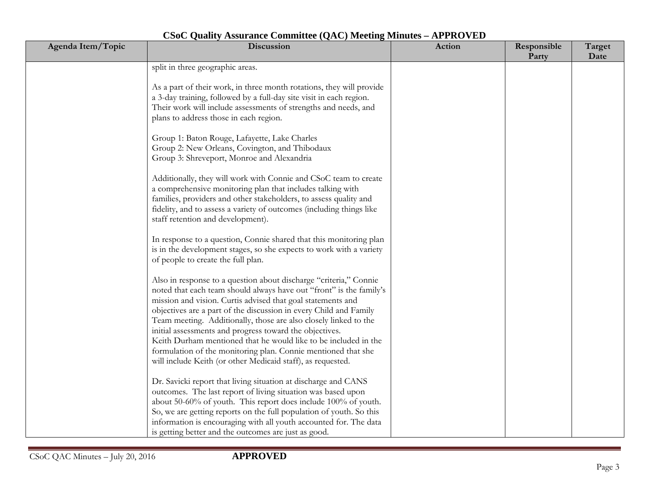| Agenda Item/Topic | Discussion                                                                                                                                                                                                                                                                                                                                                                                                                                                                                                                                                                                                     | Action | Responsible<br>Party | Target<br>Date |
|-------------------|----------------------------------------------------------------------------------------------------------------------------------------------------------------------------------------------------------------------------------------------------------------------------------------------------------------------------------------------------------------------------------------------------------------------------------------------------------------------------------------------------------------------------------------------------------------------------------------------------------------|--------|----------------------|----------------|
|                   | split in three geographic areas.                                                                                                                                                                                                                                                                                                                                                                                                                                                                                                                                                                               |        |                      |                |
|                   | As a part of their work, in three month rotations, they will provide<br>a 3-day training, followed by a full-day site visit in each region.<br>Their work will include assessments of strengths and needs, and<br>plans to address those in each region.                                                                                                                                                                                                                                                                                                                                                       |        |                      |                |
|                   | Group 1: Baton Rouge, Lafayette, Lake Charles<br>Group 2: New Orleans, Covington, and Thibodaux<br>Group 3: Shreveport, Monroe and Alexandria                                                                                                                                                                                                                                                                                                                                                                                                                                                                  |        |                      |                |
|                   | Additionally, they will work with Connie and CSoC team to create<br>a comprehensive monitoring plan that includes talking with<br>families, providers and other stakeholders, to assess quality and<br>fidelity, and to assess a variety of outcomes (including things like<br>staff retention and development).                                                                                                                                                                                                                                                                                               |        |                      |                |
|                   | In response to a question, Connie shared that this monitoring plan<br>is in the development stages, so she expects to work with a variety<br>of people to create the full plan.                                                                                                                                                                                                                                                                                                                                                                                                                                |        |                      |                |
|                   | Also in response to a question about discharge "criteria," Connie<br>noted that each team should always have out "front" is the family's<br>mission and vision. Curtis advised that goal statements and<br>objectives are a part of the discussion in every Child and Family<br>Team meeting. Additionally, those are also closely linked to the<br>initial assessments and progress toward the objectives.<br>Keith Durham mentioned that he would like to be included in the<br>formulation of the monitoring plan. Connie mentioned that she<br>will include Keith (or other Medicaid staff), as requested. |        |                      |                |
|                   | Dr. Savicki report that living situation at discharge and CANS<br>outcomes. The last report of living situation was based upon<br>about 50-60% of youth. This report does include 100% of youth.<br>So, we are getting reports on the full population of youth. So this<br>information is encouraging with all youth accounted for. The data<br>is getting better and the outcomes are just as good.                                                                                                                                                                                                           |        |                      |                |

## **CSoC Quality Assurance Committee (QAC) Meeting Minutes – APPROVED**